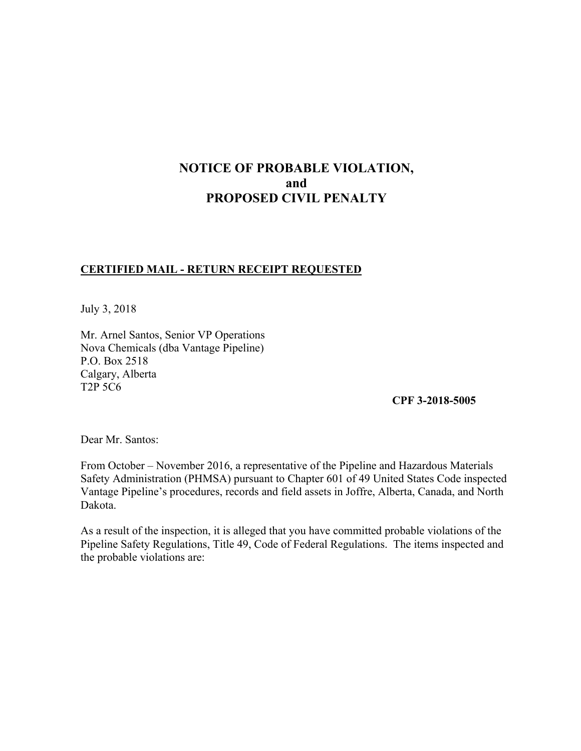# **NOTICE OF PROBABLE VIOLATION, and PROPOSED CIVIL PENALTY**

# **CERTIFIED MAIL - RETURN RECEIPT REQUESTED**

July 3, 2018

Mr. Arnel Santos, Senior VP Operations Nova Chemicals (dba Vantage Pipeline) P.O. Box 2518 Calgary, Alberta T2P 5C6

**CPF 3-2018-5005**

Dear Mr. Santos:

From October – November 2016, a representative of the Pipeline and Hazardous Materials Safety Administration (PHMSA) pursuant to Chapter 601 of 49 United States Code inspected Vantage Pipeline's procedures, records and field assets in Joffre, Alberta, Canada, and North Dakota.

As a result of the inspection, it is alleged that you have committed probable violations of the Pipeline Safety Regulations, Title 49, Code of Federal Regulations. The items inspected and the probable violations are: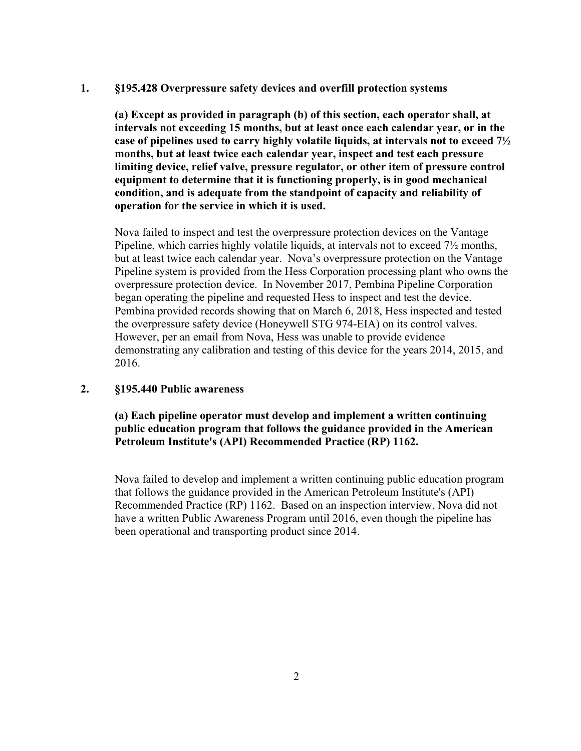### **1. §195.428 Overpressure safety devices and overfill protection systems**

**(a) Except as provided in paragraph (b) of this section, each operator shall, at intervals not exceeding 15 months, but at least once each calendar year, or in the case of pipelines used to carry highly volatile liquids, at intervals not to exceed 7½ months, but at least twice each calendar year, inspect and test each pressure limiting device, relief valve, pressure regulator, or other item of pressure control equipment to determine that it is functioning properly, is in good mechanical condition, and is adequate from the standpoint of capacity and reliability of operation for the service in which it is used.** 

Nova failed to inspect and test the overpressure protection devices on the Vantage Pipeline, which carries highly volatile liquids, at intervals not to exceed 7½ months, but at least twice each calendar year. Nova's overpressure protection on the Vantage Pipeline system is provided from the Hess Corporation processing plant who owns the overpressure protection device. In November 2017, Pembina Pipeline Corporation began operating the pipeline and requested Hess to inspect and test the device. Pembina provided records showing that on March 6, 2018, Hess inspected and tested the overpressure safety device (Honeywell STG 974-EIA) on its control valves. However, per an email from Nova, Hess was unable to provide evidence demonstrating any calibration and testing of this device for the years 2014, 2015, and 2016.

#### **2. §195.440 Public awareness**

**(a) Each pipeline operator must develop and implement a written continuing public education program that follows the guidance provided in the American Petroleum Institute's (API) Recommended Practice (RP) 1162.**

Nova failed to develop and implement a written continuing public education program that follows the guidance provided in the American Petroleum Institute's (API) Recommended Practice (RP) 1162. Based on an inspection interview, Nova did not have a written Public Awareness Program until 2016, even though the pipeline has been operational and transporting product since 2014.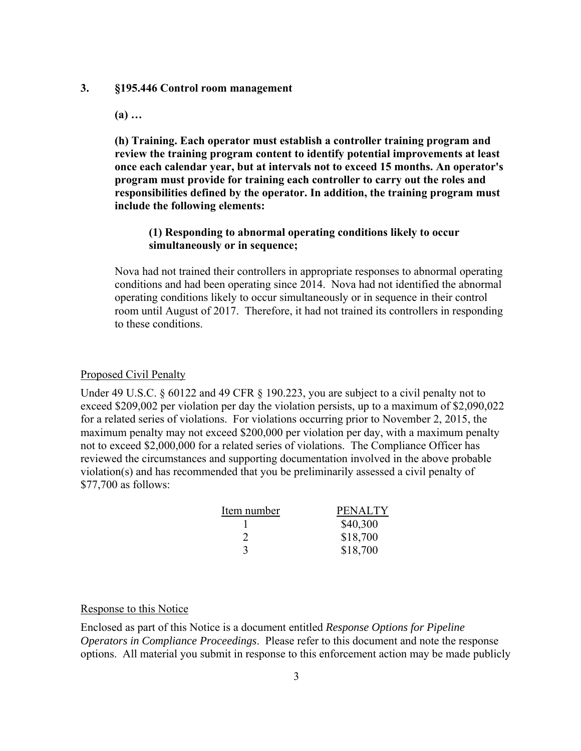#### **3. §195.446 Control room management**

**(a) …**

**(h) Training. Each operator must establish a controller training program and review the training program content to identify potential improvements at least once each calendar year, but at intervals not to exceed 15 months. An operator's program must provide for training each controller to carry out the roles and responsibilities defined by the operator. In addition, the training program must include the following elements:** 

# **(1) Responding to abnormal operating conditions likely to occur simultaneously or in sequence;**

Nova had not trained their controllers in appropriate responses to abnormal operating conditions and had been operating since 2014. Nova had not identified the abnormal operating conditions likely to occur simultaneously or in sequence in their control room until August of 2017. Therefore, it had not trained its controllers in responding to these conditions.

## Proposed Civil Penalty

Under 49 U.S.C. § 60122 and 49 CFR § 190.223, you are subject to a civil penalty not to exceed \$209,002 per violation per day the violation persists, up to a maximum of \$2,090,022 for a related series of violations. For violations occurring prior to November 2, 2015, the maximum penalty may not exceed \$200,000 per violation per day, with a maximum penalty not to exceed \$2,000,000 for a related series of violations. The Compliance Officer has reviewed the circumstances and supporting documentation involved in the above probable violation(s) and has recommended that you be preliminarily assessed a civil penalty of \$77,700 as follows:

| Item number | <b>PENALTY</b> |
|-------------|----------------|
|             | \$40,300       |
| $\gamma$    | \$18,700       |
|             | \$18,700       |

#### Response to this Notice

Enclosed as part of this Notice is a document entitled *Response Options for Pipeline Operators in Compliance Proceedings*. Please refer to this document and note the response options. All material you submit in response to this enforcement action may be made publicly